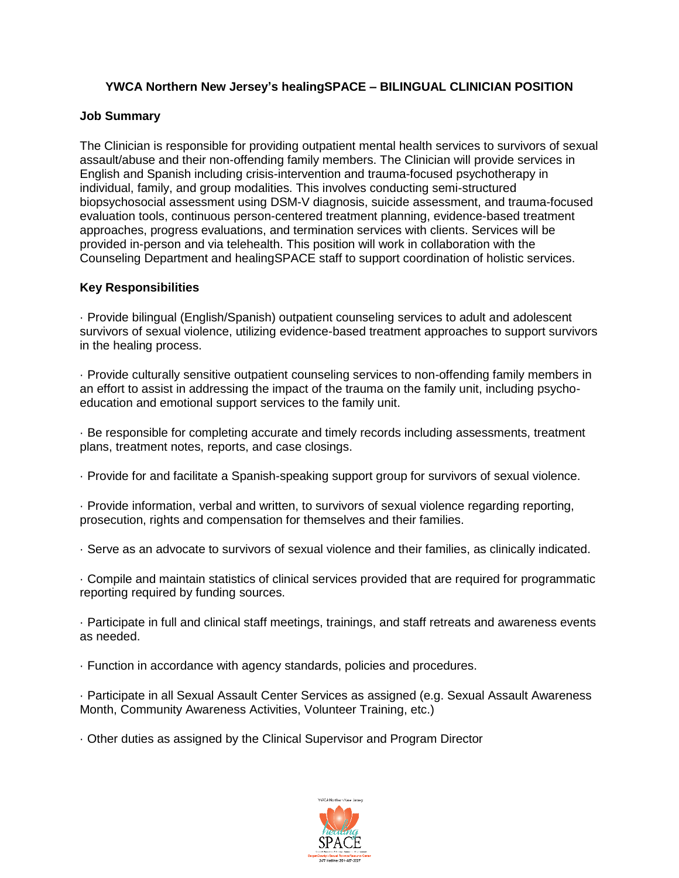# **YWCA Northern New Jersey's healingSPACE – BILINGUAL CLINICIAN POSITION**

### **Job Summary**

The Clinician is responsible for providing outpatient mental health services to survivors of sexual assault/abuse and their non-offending family members. The Clinician will provide services in English and Spanish including crisis-intervention and trauma-focused psychotherapy in individual, family, and group modalities. This involves conducting semi-structured biopsychosocial assessment using DSM-V diagnosis, suicide assessment, and trauma-focused evaluation tools, continuous person-centered treatment planning, evidence-based treatment approaches, progress evaluations, and termination services with clients. Services will be provided in-person and via telehealth. This position will work in collaboration with the Counseling Department and healingSPACE staff to support coordination of holistic services.

### **Key Responsibilities**

· Provide bilingual (English/Spanish) outpatient counseling services to adult and adolescent survivors of sexual violence, utilizing evidence-based treatment approaches to support survivors in the healing process.

· Provide culturally sensitive outpatient counseling services to non-offending family members in an effort to assist in addressing the impact of the trauma on the family unit, including psychoeducation and emotional support services to the family unit.

· Be responsible for completing accurate and timely records including assessments, treatment plans, treatment notes, reports, and case closings.

· Provide for and facilitate a Spanish-speaking support group for survivors of sexual violence.

· Provide information, verbal and written, to survivors of sexual violence regarding reporting, prosecution, rights and compensation for themselves and their families.

· Serve as an advocate to survivors of sexual violence and their families, as clinically indicated.

· Compile and maintain statistics of clinical services provided that are required for programmatic reporting required by funding sources.

· Participate in full and clinical staff meetings, trainings, and staff retreats and awareness events as needed.

· Function in accordance with agency standards, policies and procedures.

· Participate in all Sexual Assault Center Services as assigned (e.g. Sexual Assault Awareness Month, Community Awareness Activities, Volunteer Training, etc.)

· Other duties as assigned by the Clinical Supervisor and Program Director

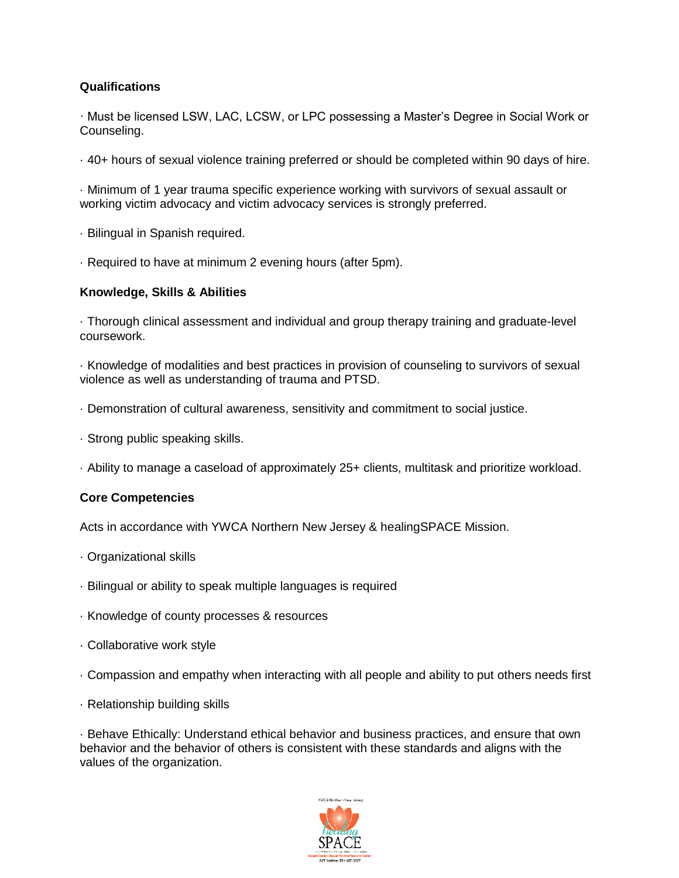# **Qualifications**

· Must be licensed LSW, LAC, LCSW, or LPC possessing a Master's Degree in Social Work or Counseling.

· 40+ hours of sexual violence training preferred or should be completed within 90 days of hire.

· Minimum of 1 year trauma specific experience working with survivors of sexual assault or working victim advocacy and victim advocacy services is strongly preferred.

- · Bilingual in Spanish required.
- · Required to have at minimum 2 evening hours (after 5pm).

#### **Knowledge, Skills & Abilities**

· Thorough clinical assessment and individual and group therapy training and graduate-level coursework.

· Knowledge of modalities and best practices in provision of counseling to survivors of sexual violence as well as understanding of trauma and PTSD.

- · Demonstration of cultural awareness, sensitivity and commitment to social justice.
- · Strong public speaking skills.
- · Ability to manage a caseload of approximately 25+ clients, multitask and prioritize workload.

### **Core Competencies**

Acts in accordance with YWCA Northern New Jersey & healingSPACE Mission.

- · Organizational skills
- · Bilingual or ability to speak multiple languages is required
- · Knowledge of county processes & resources
- · Collaborative work style
- · Compassion and empathy when interacting with all people and ability to put others needs first
- · Relationship building skills

· Behave Ethically: Understand ethical behavior and business practices, and ensure that own behavior and the behavior of others is consistent with these standards and aligns with the values of the organization.

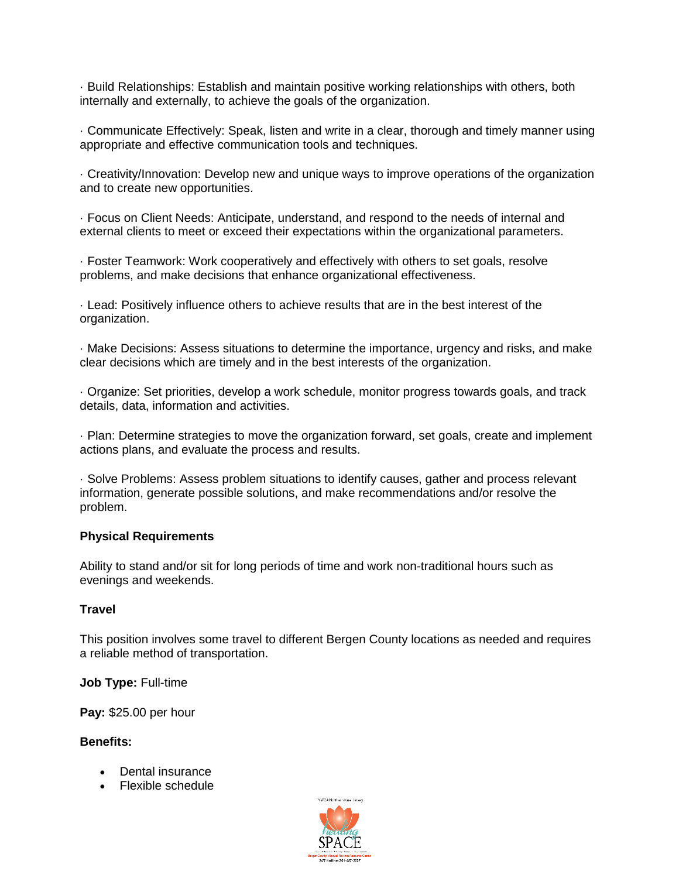· Build Relationships: Establish and maintain positive working relationships with others, both internally and externally, to achieve the goals of the organization.

· Communicate Effectively: Speak, listen and write in a clear, thorough and timely manner using appropriate and effective communication tools and techniques.

· Creativity/Innovation: Develop new and unique ways to improve operations of the organization and to create new opportunities.

· Focus on Client Needs: Anticipate, understand, and respond to the needs of internal and external clients to meet or exceed their expectations within the organizational parameters.

· Foster Teamwork: Work cooperatively and effectively with others to set goals, resolve problems, and make decisions that enhance organizational effectiveness.

· Lead: Positively influence others to achieve results that are in the best interest of the organization.

· Make Decisions: Assess situations to determine the importance, urgency and risks, and make clear decisions which are timely and in the best interests of the organization.

· Organize: Set priorities, develop a work schedule, monitor progress towards goals, and track details, data, information and activities.

· Plan: Determine strategies to move the organization forward, set goals, create and implement actions plans, and evaluate the process and results.

· Solve Problems: Assess problem situations to identify causes, gather and process relevant information, generate possible solutions, and make recommendations and/or resolve the problem.

#### **Physical Requirements**

Ability to stand and/or sit for long periods of time and work non-traditional hours such as evenings and weekends.

#### **Travel**

This position involves some travel to different Bergen County locations as needed and requires a reliable method of transportation.

**Job Type:** Full-time

**Pay:** \$25.00 per hour

#### **Benefits:**

- Dental insurance
- Flexible schedule